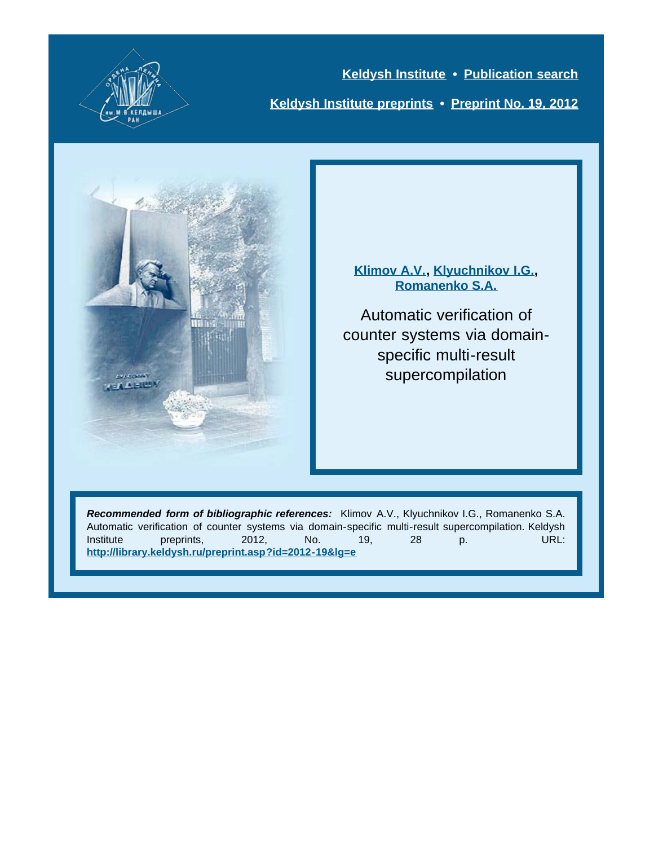

**[Keldysh Institute](http://keldysh.ru/index.en.shtml) • [Publication search](http://library.keldysh.ru/prep_qf.asp?lg=e) [Keldysh Institute preprints](http://library.keldysh.ru/preprints/default.asp?lg=e) • [Preprint No. 19, 2012](http://library.keldysh.ru/preprint.asp?id=2012-19&lg=e)**



**[Klimov A.V.,](http://library.keldysh.ru/author_page.asp?aid=1286&lg=e) [Klyuchnikov I.G.,](http://library.keldysh.ru/author_page.asp?aid=3145&lg=e) [Romanenko S.A.](http://library.keldysh.ru/author_page.asp?aid=1291&lg=e)**

Automatic verification of counter systems via domainspecific multi-result supercompilation

*Recommended form of bibliographic references:* Klimov A.V., Klyuchnikov I.G., Romanenko S.A. Automatic verification of counter systems via domain-specific multi-result supercompilation. Keldysh Institute preprints, 2012, No. 19, 28 p. URL: **<http://library.keldysh.ru/preprint.asp?id=2012-19&lg=e>**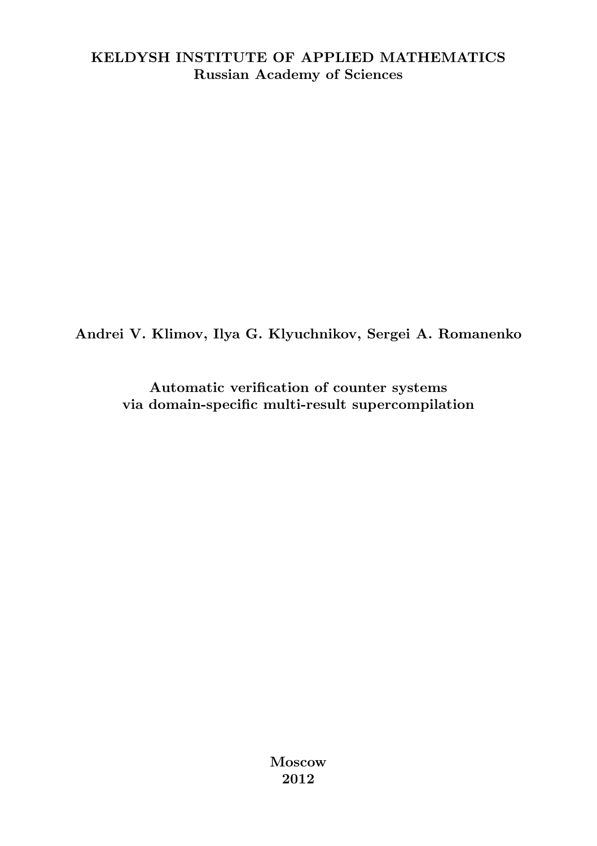#### KELDYSH INSTITUTE OF APPLIED MATHEMATICS Russian Academy of Sciences

Andrei V. Klimov, Ilya G. Klyuchnikov, Sergei A. Romanenko

Automatic verification of counter systems via domain-specific multi-result supercompilation

> Moscow 2012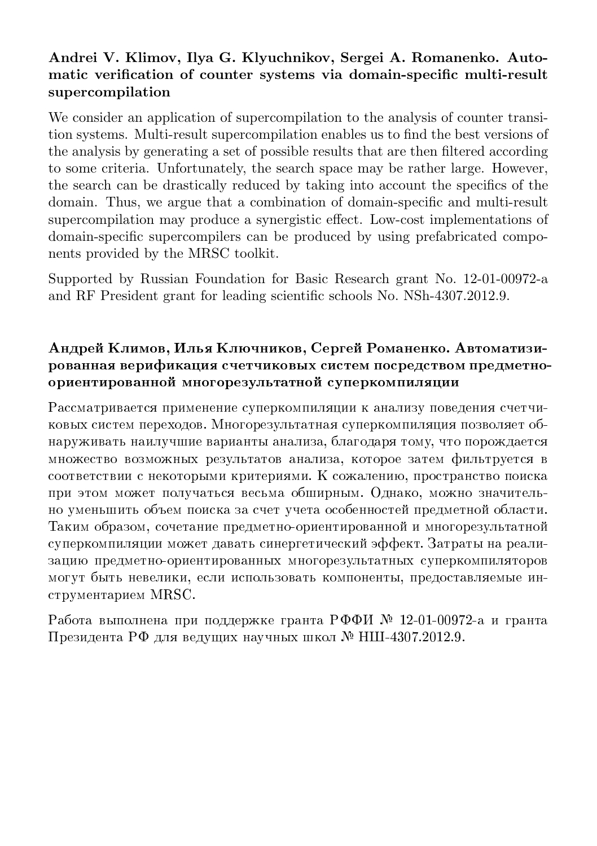#### Andrei V. Klimov, Ilya G. Klyuchnikov, Sergei A. Romanenko. Automatic verification of counter systems via domain-specific multi-result supercompilation

We consider an application of supercompilation to the analysis of counter transition systems. Multi-result supercompilation enables us to find the best versions of the analysis by generating a set of possible results that are then filtered according to some criteria. Unfortunately, the search space may be rather large. However, the search can be drastically reduced by taking into account the specifics of the domain. Thus, we argue that a combination of domain-specific and multi-result supercompilation may produce a synergistic effect. Low-cost implementations of domain-specific supercompilers can be produced by using prefabricated components provided by the MRSC toolkit.

Supported by Russian Foundation for Basic Research grant No. 12-01-00972-a and RF President grant for leading scientific schools No. NSh-4307.2012.9.

#### Андрей Климов, Илья Ключников, Сергей Романенко. Автоматизированная верификация счетчиковых систем посредством предметноориентированной многорезультатной суперкомпиляции

Рассматривается применение суперкомпиляции к анализу поведения счетчиковых систем переходов. Многорезультатная суперкомпиляция позволяет обнаруживать наилучшие варианты анализа, благодаря тому, что порождается множество возможных результатов анализа, которое затем фильтруется в соответствии с некоторыми критериями. К сожалению, пространство поиска при этом может получаться весьма обширным. Однако, можно значительно уменьшить объем поиска за счет учета особенностей предметной области. Таким образом, сочетание предметно-ориентированной и многорезультатной суперкомпиляции может давать синергетический эффект. Затраты на реализацию предметно-ориентированных многорезультатных суперкомпиляторов могут быть невелики, если использовать компоненты, предоставляемые инструментарием MRSC.

Работа выполнена при поддержке гранта РФФИ № 12-01-00972-a и гранта Президента РФ для ведущих научных школ № НШ-4307.2012.9.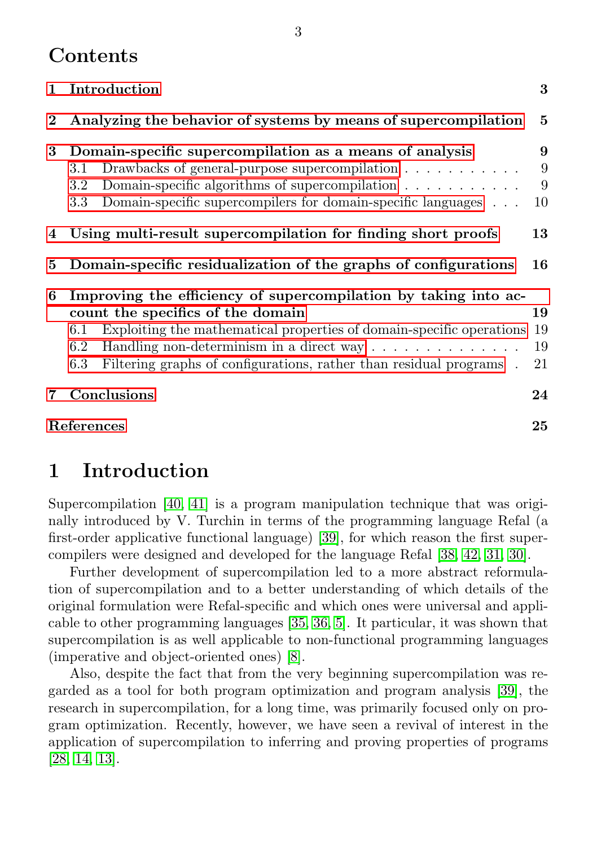## **Contents**

|          | 3<br>1 Introduction                                                                                                                                                                                                                                                                                                                           |                      |  |  |  |  |  |
|----------|-----------------------------------------------------------------------------------------------------------------------------------------------------------------------------------------------------------------------------------------------------------------------------------------------------------------------------------------------|----------------------|--|--|--|--|--|
| $\bf{2}$ | Analyzing the behavior of systems by means of supercompilation                                                                                                                                                                                                                                                                                |                      |  |  |  |  |  |
| 3        | Domain-specific supercompilation as a means of analysis<br>Drawbacks of general-purpose supercompilation $\ldots \ldots \ldots \ldots$<br>3.1<br>Domain-specific algorithms of supercompilation $\ldots \ldots \ldots$<br>$3.2\,$<br>Domain-specific supercompilers for domain-specific languages<br>$3.3\,$                                  | 9<br>9<br>9<br>10    |  |  |  |  |  |
|          | 4 Using multi-result supercompilation for finding short proofs<br>13                                                                                                                                                                                                                                                                          |                      |  |  |  |  |  |
| 5        | Domain-specific residualization of the graphs of configurations                                                                                                                                                                                                                                                                               | 16                   |  |  |  |  |  |
| 6        | Improving the efficiency of supercompilation by taking into ac-<br>count the specifics of the domain<br>Exploiting the mathematical properties of domain-specific operations<br>6.1<br>Handling non-determinism in a direct way $\dots \dots \dots \dots$<br>6.2<br>Filtering graphs of configurations, rather than residual programs.<br>6.3 | 19<br>19<br>19<br>21 |  |  |  |  |  |
| 7        | Conclusions                                                                                                                                                                                                                                                                                                                                   | 24                   |  |  |  |  |  |
|          | References<br>25                                                                                                                                                                                                                                                                                                                              |                      |  |  |  |  |  |

# <span id="page-3-0"></span>1 Introduction

Supercompilation [\[40,](#page-28-0) [41\]](#page-28-1) is a program manipulation technique that was originally introduced by V. Turchin in terms of the programming language Refal (a first-order applicative functional language) [\[39\]](#page-28-2), for which reason the first supercompilers were designed and developed for the language Refal [\[38,](#page-28-3) [42,](#page-28-4) [31,](#page-27-0) [30\]](#page-27-1).

Further development of supercompilation led to a more abstract reformulation of supercompilation and to a better understanding of which details of the original formulation were Refal-specific and which ones were universal and applicable to other programming languages [\[35,](#page-28-5) [36,](#page-28-6) [5\]](#page-25-1). It particular, it was shown that supercompilation is as well applicable to non-functional programming languages (imperative and object-oriented ones) [\[8\]](#page-26-0).

Also, despite the fact that from the very beginning supercompilation was regarded as a tool for both program optimization and program analysis [\[39\]](#page-28-2), the research in supercompilation, for a long time, was primarily focused only on program optimization. Recently, however, we have seen a revival of interest in the application of supercompilation to inferring and proving properties of programs [\[28,](#page-27-2) [14,](#page-26-1) [13\]](#page-26-2).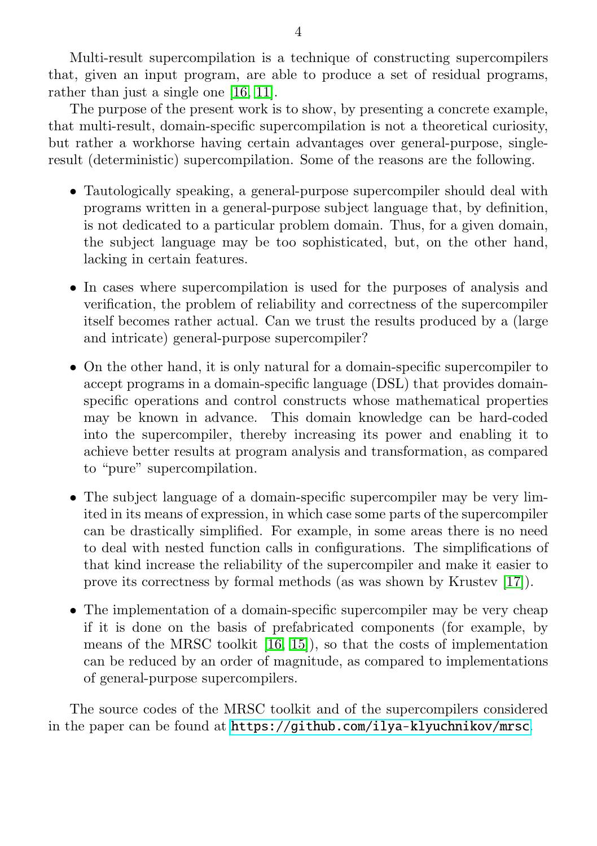Multi-result supercompilation is a technique of constructing supercompilers that, given an input program, are able to produce a set of residual programs, rather than just a single one [\[16,](#page-26-3) [11\]](#page-26-4).

The purpose of the present work is to show, by presenting a concrete example, that multi-result, domain-specific supercompilation is not a theoretical curiosity, but rather a workhorse having certain advantages over general-purpose, singleresult (deterministic) supercompilation. Some of the reasons are the following.

- ∙ Tautologically speaking, a general-purpose supercompiler should deal with programs written in a general-purpose subject language that, by definition, is not dedicated to a particular problem domain. Thus, for a given domain, the subject language may be too sophisticated, but, on the other hand, lacking in certain features.
- ∙ In cases where supercompilation is used for the purposes of analysis and verification, the problem of reliability and correctness of the supercompiler itself becomes rather actual. Can we trust the results produced by a (large and intricate) general-purpose supercompiler?
- ∙ On the other hand, it is only natural for a domain-specific supercompiler to accept programs in a domain-specific language (DSL) that provides domainspecific operations and control constructs whose mathematical properties may be known in advance. This domain knowledge can be hard-coded into the supercompiler, thereby increasing its power and enabling it to achieve better results at program analysis and transformation, as compared to "pure" supercompilation.
- ∙ The subject language of a domain-specific supercompiler may be very limited in its means of expression, in which case some parts of the supercompiler can be drastically simplified. For example, in some areas there is no need to deal with nested function calls in configurations. The simplifications of that kind increase the reliability of the supercompiler and make it easier to prove its correctness by formal methods (as was shown by Krustev [\[17\]](#page-26-5)).
- ∙ The implementation of a domain-specific supercompiler may be very cheap if it is done on the basis of prefabricated components (for example, by means of the MRSC toolkit [\[16,](#page-26-3) [15\]](#page-26-6)), so that the costs of implementation can be reduced by an order of magnitude, as compared to implementations of general-purpose supercompilers.

The source codes of the MRSC toolkit and of the supercompilers considered in the paper can be found at <https://github.com/ilya-klyuchnikov/mrsc>.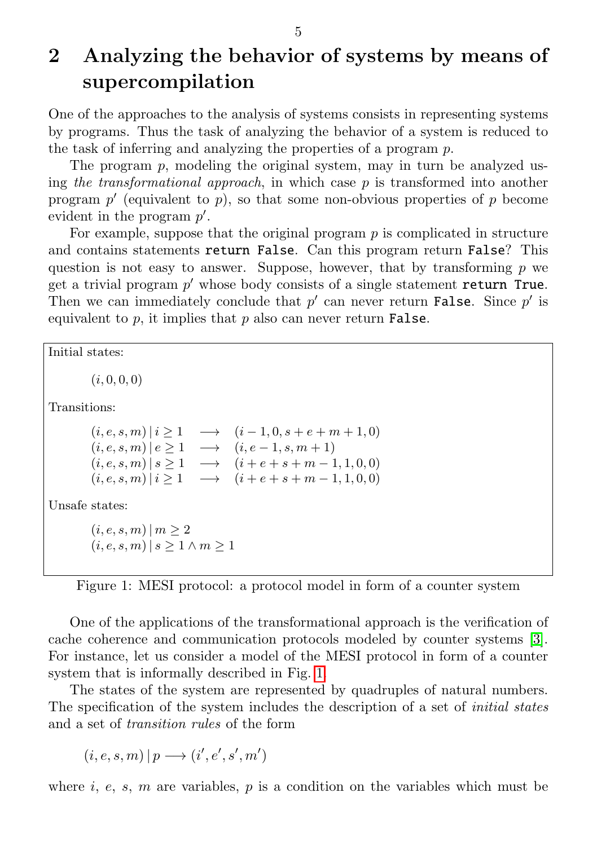# <span id="page-5-0"></span>2 Analyzing the behavior of systems by means of supercompilation

One of the approaches to the analysis of systems consists in representing systems by programs. Thus the task of analyzing the behavior of a system is reduced to the task of inferring and analyzing the properties of a program  $p$ .

The program  $p$ , modeling the original system, may in turn be analyzed using the transformational approach, in which case  $p$  is transformed into another program  $p'$  (equivalent to  $p$ ), so that some non-obvious properties of  $p$  become evident in the program  $p'$ .

For example, suppose that the original program  $p$  is complicated in structure and contains statements return False. Can this program return False? This question is not easy to answer. Suppose, however, that by transforming  $p$  we get a trivial program  $p'$  whose body consists of a single statement return True. Then we can immediately conclude that  $p'$  can never return **False**. Since  $p'$  is equivalent to  $p$ , it implies that  $p$  also can never return **False**.

<span id="page-5-1"></span>Initial states:

 $(i, 0, 0, 0)$ 

Transitions:

| $(i, e, s, m)   i \geq 1$ | $\rightarrow (i-1,0,s+e+m+1,0)$                                   |
|---------------------------|-------------------------------------------------------------------|
| $(i, e, s, m)   e \ge 1$  | $\rightarrow (i, e-1, s, m+1)$                                    |
| $(i, e, s, m)   s \geq 1$ | $\rightarrow$ $(i+e+s+m-1,1,0,0)$                                 |
|                           | $(i, e, s, m)   i \ge 1 \rightarrow (i + e + s + m - 1, 1, 0, 0)$ |

Unsafe states:

 $(i, e, s, m) | m \ge 2$  $(i, e, s, m)$   $| s \geq 1 \wedge m \geq 1$ 

Figure 1: MESI protocol: a protocol model in form of a counter system

One of the applications of the transformational approach is the verification of cache coherence and communication protocols modeled by counter systems [\[3\]](#page-25-2). For instance, let us consider a model of the MESI protocol in form of a counter system that is informally described in Fig. [1.](#page-5-1)

The states of the system are represented by quadruples of natural numbers. The specification of the system includes the description of a set of *initial states* and a set of transition rules of the form

 $(i, e, s, m) | p \longrightarrow (i', e', s', m')$ 

where  $i, e, s, m$  are variables,  $p$  is a condition on the variables which must be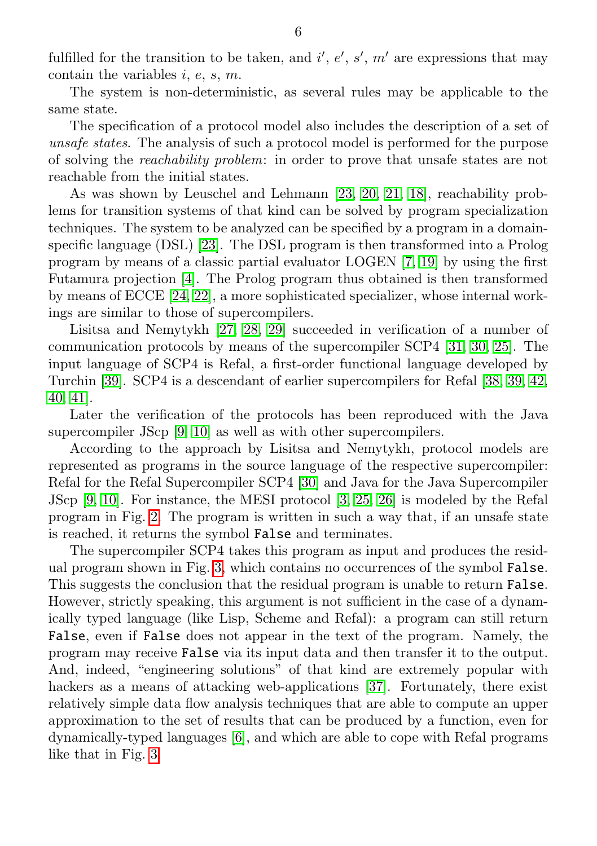fulfilled for the transition to be taken, and  $i', e', s', m'$  are expressions that may contain the variables  $i, e, s, m$ .

The system is non-deterministic, as several rules may be applicable to the same state.

The specification of a protocol model also includes the description of a set of unsafe states. The analysis of such a protocol model is performed for the purpose of solving the reachability problem: in order to prove that unsafe states are not reachable from the initial states.

As was shown by Leuschel and Lehmann [\[23,](#page-27-3) [20,](#page-27-4) [21,](#page-27-5) [18\]](#page-26-7), reachability problems for transition systems of that kind can be solved by program specialization techniques. The system to be analyzed can be specified by a program in a domainspecific language (DSL) [\[23\]](#page-27-3). The DSL program is then transformed into a Prolog program by means of a classic partial evaluator LOGEN [\[7,](#page-25-3) [19\]](#page-26-8) by using the first Futamura projection [\[4\]](#page-25-4). The Prolog program thus obtained is then transformed by means of ECCE [\[24,](#page-27-6) [22\]](#page-27-7), a more sophisticated specializer, whose internal workings are similar to those of supercompilers.

Lisitsa and Nemytykh [\[27,](#page-27-8) [28,](#page-27-2) [29\]](#page-27-9) succeeded in verification of a number of communication protocols by means of the supercompiler SCP4 [\[31,](#page-27-0) [30,](#page-27-1) [25\]](#page-27-10). The input language of SCP4 is Refal, a first-order functional language developed by Turchin [\[39\]](#page-28-2). SCP4 is a descendant of earlier supercompilers for Refal [\[38,](#page-28-3) [39,](#page-28-2) [42,](#page-28-4) [40,](#page-28-0) [41\]](#page-28-1).

Later the verification of the protocols has been reproduced with the Java supercompiler JScp [\[9,](#page-26-9) [10\]](#page-26-10) as well as with other supercompilers.

According to the approach by Lisitsa and Nemytykh, protocol models are represented as programs in the source language of the respective supercompiler: Refal for the Refal Supercompiler SCP4 [\[30\]](#page-27-1) and Java for the Java Supercompiler JScp [\[9,](#page-26-9) [10\]](#page-26-10). For instance, the MESI protocol [\[3,](#page-25-2) [25,](#page-27-10) [26\]](#page-27-11) is modeled by the Refal program in Fig. [2.](#page-7-0) The program is written in such a way that, if an unsafe state is reached, it returns the symbol False and terminates.

The supercompiler SCP4 takes this program as input and produces the residual program shown in Fig. [3,](#page-8-0) which contains no occurrences of the symbol False. This suggests the conclusion that the residual program is unable to return False. However, strictly speaking, this argument is not sufficient in the case of a dynamically typed language (like Lisp, Scheme and Refal): a program can still return False, even if False does not appear in the text of the program. Namely, the program may receive False via its input data and then transfer it to the output. And, indeed, "engineering solutions" of that kind are extremely popular with hackers as a means of attacking web-applications [\[37\]](#page-28-7). Fortunately, there exist relatively simple data flow analysis techniques that are able to compute an upper approximation to the set of results that can be produced by a function, even for dynamically-typed languages [\[6\]](#page-25-5), and which are able to cope with Refal programs like that in Fig. [3.](#page-8-0)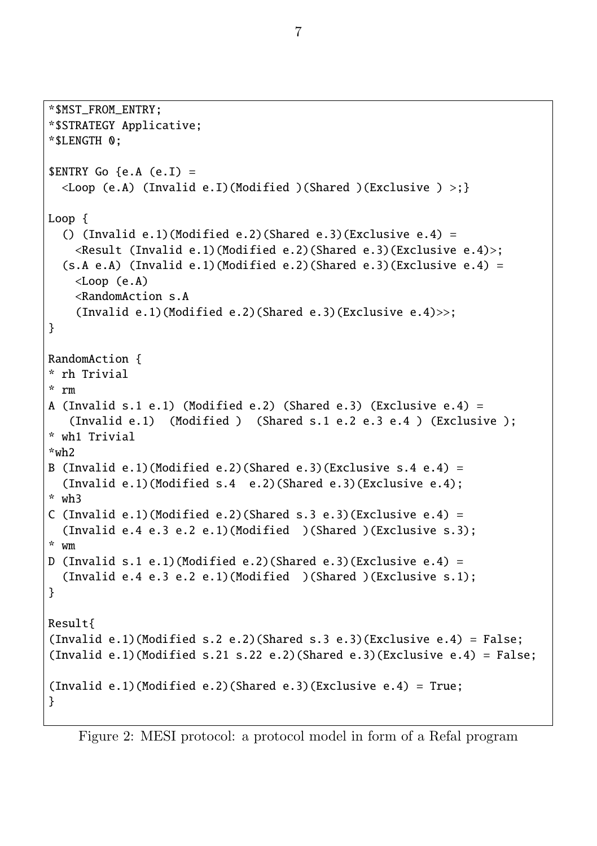<span id="page-7-0"></span>\*\$MST\_FROM\_ENTRY; \*\$STRATEGY Applicative; \*\$LENGTH 0;  $\text{SENTRY}$  Go {e.A (e.I) =  $\langle$ Loop (e.A) (Invalid e.I)(Modified )(Shared )(Exclusive ) >;} Loop { () (Invalid e.1)(Modified e.2)(Shared e.3)(Exclusive e.4) = <Result (Invalid e.1)(Modified e.2)(Shared e.3)(Exclusive e.4)>;  $(s.A e.A)$  (Invalid e.1)(Modified e.2)(Shared e.3)(Exclusive e.4) =  $\langle$ Loop  $(e, A)$ <RandomAction s.A (Invalid e.1)(Modified e.2)(Shared e.3)(Exclusive e.4)>>; } RandomAction { \* rh Trivial \* rm A (Invalid s.1 e.1) (Modified e.2) (Shared e.3) (Exclusive e.4) = (Invalid e.1) (Modified ) (Shared s.1 e.2 e.3 e.4 ) (Exclusive ); \* wh1 Trivial \*wh2 B (Invalid e.1)(Modified e.2)(Shared e.3)(Exclusive s.4 e.4) = (Invalid e.1)(Modified s.4 e.2)(Shared e.3)(Exclusive e.4); \* wh3 C (Invalid e.1)(Modified e.2)(Shared s.3 e.3)(Exclusive e.4) = (Invalid e.4 e.3 e.2 e.1)(Modified )(Shared )(Exclusive s.3); \* wm D (Invalid s.1 e.1)(Modified e.2)(Shared e.3)(Exclusive e.4) = (Invalid e.4 e.3 e.2 e.1)(Modified )(Shared )(Exclusive s.1); } Result{ (Invalid e.1)(Modified s.2 e.2)(Shared s.3 e.3)(Exclusive e.4) = False: (Invalid e.1)(Modified s.21 s.22 e.2)(Shared e.3)(Exclusive e.4) = False: (Invalid e.1)(Modified e.2)(Shared e.3)(Exclusive e.4) = True; }

Figure 2: MESI protocol: a protocol model in form of a Refal program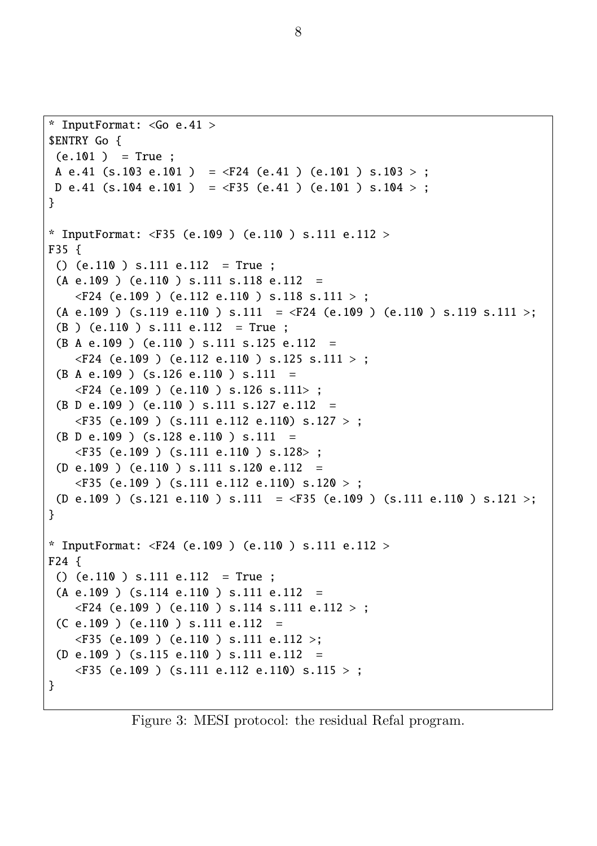```
* InputFormat: <Go e.41 >
$ENTRY Go {
 (e.101) = True:
A e.41 (s.103 e.101 ) = \langleF24 (e.41 ) (e.101 ) s.103 > ;
D e.41 (s.104 e.101 ) = \langleF35 (e.41 ) (e.101 ) s.104 >;
}
* InputFormat: <F35 (e.109 ) (e.110 ) s.111 e.112 >
F35 {
 () (e.110 ) s.111 e.112 = True ;
 (A e.109) (e.110) s.111 s.118 e.112 =
    \langleF24 (e.109) (e.112 e.110) s.118 s.111 > ;
 (A e.109 ) (s.119 e.110 ) s.111 = \angleF24 (e.109 ) (e.110 ) s.119 s.111 >;
 (B ) (e.110 ) s.111 e.112 = True ;
 (B A e.109 ) (e.110 ) s.111 s.125 e.112 =
    \langleF24 (e.109) (e.112 e.110) s.125 s.111 > ;
 (B A e.109) (s.126 e.110) s.111 =
    \langleF24 (e.109) (e.110) s.126 s.111>;
 (B D e.109 ) (e.110 ) s.111 s.127 e.112 =
    \langleF35 (e.109) (s.111 e.112 e.110) s.127 > ;
 (B \ D \ e.109) (s.128 e.110 ) s.111 =
    \langleF35 (e.109) (s.111 e.110) s.128> ;
 (D e.109 ) (e.110 ) s.111 s.120 e.112 =
    \langleF35 (e.109) (s.111 e.112 e.110) s.120 > ;
 (D e.109 ) (s.121 e.110 ) s.111 = <F35 (e.109 ) (s.111 e.110 ) s.121 >;
}
* InputFormat: <F24 (e.109 ) (e.110 ) s.111 e.112 >
F24 {
 () (e.110 ) s.111 e.112 = True ;
 (A e.109 ) (s.114 e.110 ) s.111 e.112 =
    \langleF24 (e.109) (e.110) s.114 s.111 e.112 > ;
 (C e.109) (e.110) s.111 e.112 =\langleF35 (e.109) (e.110) s.111 e.112 >:
 (D e.109 ) (s.115 e.110 ) s.111 e.112 =
    \langleF35 (e.109) (s.111 e.112 e.110) s.115 >;
}
```
Figure 3: MESI protocol: the residual Refal program.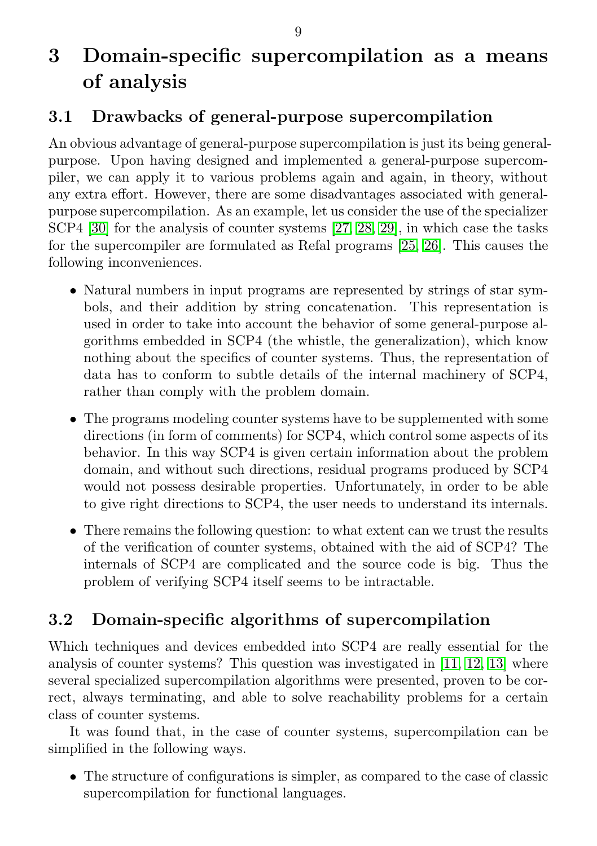# <span id="page-9-0"></span>3 Domain-specific supercompilation as a means of analysis

### <span id="page-9-1"></span>3.1 Drawbacks of general-purpose supercompilation

An obvious advantage of general-purpose supercompilation is just its being generalpurpose. Upon having designed and implemented a general-purpose supercompiler, we can apply it to various problems again and again, in theory, without any extra effort. However, there are some disadvantages associated with generalpurpose supercompilation. As an example, let us consider the use of the specializer SCP4 [\[30\]](#page-27-1) for the analysis of counter systems [\[27,](#page-27-8) [28,](#page-27-2) [29\]](#page-27-9), in which case the tasks for the supercompiler are formulated as Refal programs [\[25,](#page-27-10) [26\]](#page-27-11). This causes the following inconveniences.

- ∙ Natural numbers in input programs are represented by strings of star symbols, and their addition by string concatenation. This representation is used in order to take into account the behavior of some general-purpose algorithms embedded in SCP4 (the whistle, the generalization), which know nothing about the specifics of counter systems. Thus, the representation of data has to conform to subtle details of the internal machinery of SCP4, rather than comply with the problem domain.
- ∙ The programs modeling counter systems have to be supplemented with some directions (in form of comments) for SCP4, which control some aspects of its behavior. In this way SCP4 is given certain information about the problem domain, and without such directions, residual programs produced by SCP4 would not possess desirable properties. Unfortunately, in order to be able to give right directions to SCP4, the user needs to understand its internals.
- ∙ There remains the following question: to what extent can we trust the results of the verification of counter systems, obtained with the aid of SCP4? The internals of SCP4 are complicated and the source code is big. Thus the problem of verifying SCP4 itself seems to be intractable.

## <span id="page-9-2"></span>3.2 Domain-specific algorithms of supercompilation

Which techniques and devices embedded into SCP4 are really essential for the analysis of counter systems? This question was investigated in [\[11,](#page-26-4) [12,](#page-26-11) [13\]](#page-26-2) where several specialized supercompilation algorithms were presented, proven to be correct, always terminating, and able to solve reachability problems for a certain class of counter systems.

It was found that, in the case of counter systems, supercompilation can be simplified in the following ways.

∙ The structure of configurations is simpler, as compared to the case of classic supercompilation for functional languages.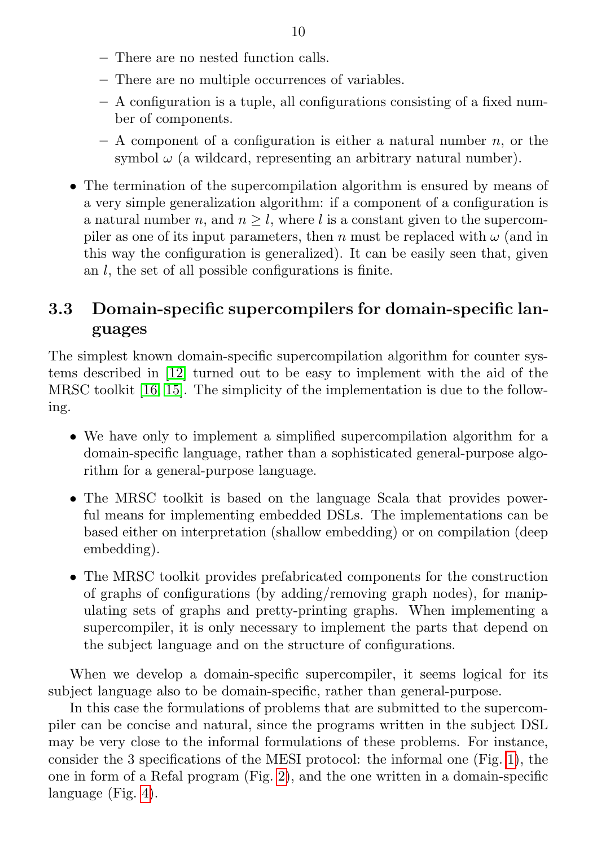- There are no nested function calls.
- There are no multiple occurrences of variables.
- A configuration is a tuple, all configurations consisting of a fixed number of components.
- $A$  component of a configuration is either a natural number  $n$ , or the symbol  $\omega$  (a wildcard, representing an arbitrary natural number).
- ∙ The termination of the supercompilation algorithm is ensured by means of a very simple generalization algorithm: if a component of a configuration is a natural number n, and  $n \geq l$ , where l is a constant given to the supercompiler as one of its input parameters, then n must be replaced with  $\omega$  (and in this way the configuration is generalized). It can be easily seen that, given an  $l$ , the set of all possible configurations is finite.

### <span id="page-10-0"></span>3.3 Domain-specific supercompilers for domain-specific languages

The simplest known domain-specific supercompilation algorithm for counter systems described in [\[12\]](#page-26-11) turned out to be easy to implement with the aid of the MRSC toolkit [\[16,](#page-26-3) [15\]](#page-26-6). The simplicity of the implementation is due to the following.

- ∙ We have only to implement a simplified supercompilation algorithm for a domain-specific language, rather than a sophisticated general-purpose algorithm for a general-purpose language.
- ∙ The MRSC toolkit is based on the language Scala that provides powerful means for implementing embedded DSLs. The implementations can be based either on interpretation (shallow embedding) or on compilation (deep embedding).
- ∙ The MRSC toolkit provides prefabricated components for the construction of graphs of configurations (by adding/removing graph nodes), for manipulating sets of graphs and pretty-printing graphs. When implementing a supercompiler, it is only necessary to implement the parts that depend on the subject language and on the structure of configurations.

When we develop a domain-specific supercompiler, it seems logical for its subject language also to be domain-specific, rather than general-purpose.

In this case the formulations of problems that are submitted to the supercompiler can be concise and natural, since the programs written in the subject DSL may be very close to the informal formulations of these problems. For instance, consider the 3 specifications of the MESI protocol: the informal one (Fig. [1\)](#page-5-1), the one in form of a Refal program (Fig. [2\)](#page-7-0), and the one written in a domain-specific language (Fig. [4\)](#page-11-0).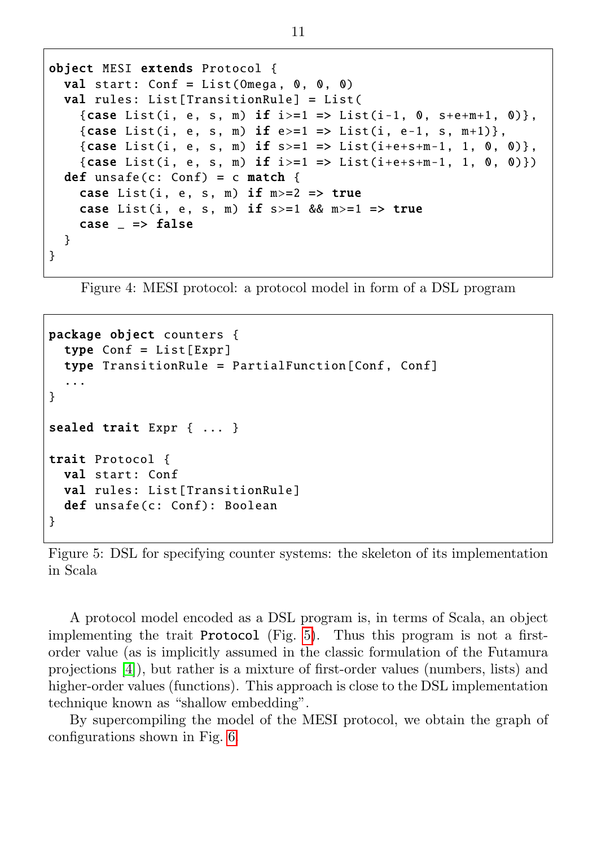```
object MESI extends Protocol {
  val start: Conf = List(Omega, 0, 0, 0)val rules: List [ TransitionRule] = List (
    {case List(i, e, s, m) if i>=1 => List(i-1, 0, s+e+m+1, 0)},
    {case List(i, e, s, m) if e>=1 => List(i, e-1, s, m+1)},
    {case List(i, e, s, m) if s>=1 => List(i+e+s+m-1, 1, 0, 0)},
    {case List(i, e, s, m) if i>=1 => List(i+e+s+m-1, 1, 0, 0)})
  def unsafe(c: Conf) = c match {
    case List(i, e, s, m) if m>=2 => true
    case List(i, e, s, m) if s>=1 && m>=1 => true
    case => false}
}
```
Figure 4: MESI protocol: a protocol model in form of a DSL program

```
package object counters {
  type Conf = List[Expr]
  type TransitionRule = PartialFunction [Conf , Conf]
  ...
}
sealed trait Expr { ... }
trait Protocol {
  val start: Conf
  val rules: List[TransitionRule]
  def unsafe(c: Conf): Boolean
}
```
Figure 5: DSL for specifying counter systems: the skeleton of its implementation in Scala

A protocol model encoded as a DSL program is, in terms of Scala, an object implementing the trait Protocol (Fig. [5\)](#page-11-1). Thus this program is not a firstorder value (as is implicitly assumed in the classic formulation of the Futamura projections [\[4\]](#page-25-4)), but rather is a mixture of first-order values (numbers, lists) and higher-order values (functions). This approach is close to the DSL implementation technique known as "shallow embedding".

By supercompiling the model of the MESI protocol, we obtain the graph of configurations shown in Fig. [6.](#page-12-1)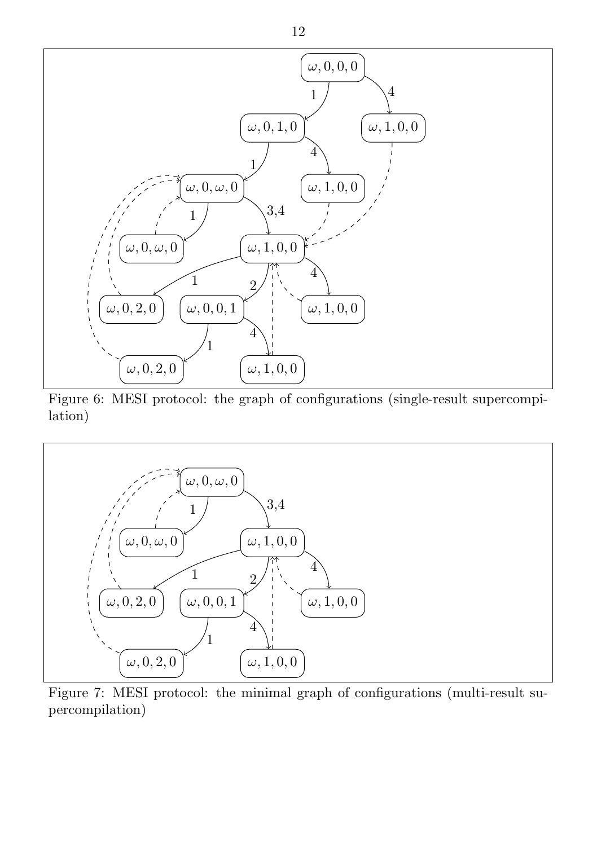<span id="page-12-1"></span>

Figure 6: MESI protocol: the graph of configurations (single-result supercompilation)

<span id="page-12-2"></span>

<span id="page-12-0"></span>Figure 7: MESI protocol: the minimal graph of configurations (multi-result supercompilation)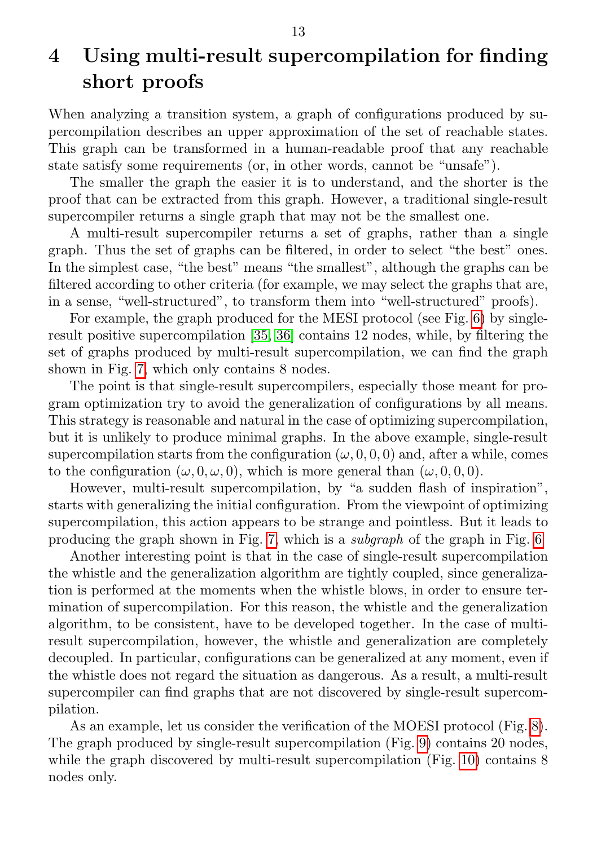# 4 Using multi-result supercompilation for finding short proofs

When analyzing a transition system, a graph of configurations produced by supercompilation describes an upper approximation of the set of reachable states. This graph can be transformed in a human-readable proof that any reachable state satisfy some requirements (or, in other words, cannot be "unsafe").

The smaller the graph the easier it is to understand, and the shorter is the proof that can be extracted from this graph. However, a traditional single-result supercompiler returns a single graph that may not be the smallest one.

A multi-result supercompiler returns a set of graphs, rather than a single graph. Thus the set of graphs can be filtered, in order to select "the best" ones. In the simplest case, "the best" means "the smallest", although the graphs can be filtered according to other criteria (for example, we may select the graphs that are, in a sense, "well-structured", to transform them into "well-structured" proofs).

For example, the graph produced for the MESI protocol (see Fig. [6\)](#page-12-1) by singleresult positive supercompilation [\[35,](#page-28-5) [36\]](#page-28-6) contains 12 nodes, while, by filtering the set of graphs produced by multi-result supercompilation, we can find the graph shown in Fig. [7,](#page-12-2) which only contains 8 nodes.

The point is that single-result supercompilers, especially those meant for program optimization try to avoid the generalization of configurations by all means. This strategy is reasonable and natural in the case of optimizing supercompilation, but it is unlikely to produce minimal graphs. In the above example, single-result supercompilation starts from the configuration  $(\omega, 0, 0, 0)$  and, after a while, comes to the configuration  $(\omega, 0, \omega, 0)$ , which is more general than  $(\omega, 0, 0, 0)$ .

However, multi-result supercompilation, by "a sudden flash of inspiration", starts with generalizing the initial configuration. From the viewpoint of optimizing supercompilation, this action appears to be strange and pointless. But it leads to producing the graph shown in Fig. [7,](#page-12-2) which is a subgraph of the graph in Fig. [6](#page-12-1)

Another interesting point is that in the case of single-result supercompilation the whistle and the generalization algorithm are tightly coupled, since generalization is performed at the moments when the whistle blows, in order to ensure termination of supercompilation. For this reason, the whistle and the generalization algorithm, to be consistent, have to be developed together. In the case of multiresult supercompilation, however, the whistle and generalization are completely decoupled. In particular, configurations can be generalized at any moment, even if the whistle does not regard the situation as dangerous. As a result, a multi-result supercompiler can find graphs that are not discovered by single-result supercompilation.

As an example, let us consider the verification of the MOESI protocol (Fig. [8\)](#page-14-0). The graph produced by single-result supercompilation (Fig. [9\)](#page-15-0) contains 20 nodes, while the graph discovered by multi-result supercompilation (Fig. [10\)](#page-16-1) contains 8 nodes only.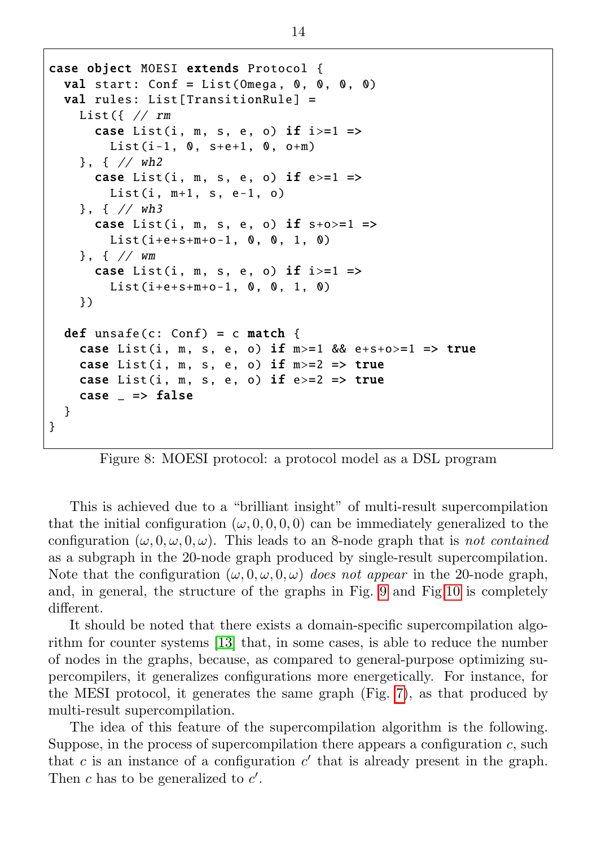```
case object MOESI extends Protocol {
  val start: Conf = List(Omega, 0, 0, 0, 0)val rules: List[TransformRule] =List({}/Trm
      case List(i, m, s, e, o) if i>=1 =>
        List(i-1, 0, s+e+1, 0, o+m)}, { // wh2
      case List(i, m, s, e, o) if e>=1 =>
        List(i, m+1, s, e-1, o)}, { // wh3
      case List(i, m, s, e, o) if s+o>=1 =>
        List(i+e+s+m+o-1, 0, 0, 1, 0)}, { // wm
      case List(i, m, s, e, o) if i>=1 =>
        List(i+e+s+m+o-1, 0, 0, 1, 0)})
  def unsafe(c: Conf) = c match {
    case List(i, m, s, e, o) if m>=1 & e+s+o > = 1 = > true
    case List(i, m, s, e, o) if m>=2 => true
    case List(i, m, s, e, o) if e>=2 => true
    case = \Rightarrow false
  }
}
```
Figure 8: MOESI protocol: a protocol model as a DSL program

This is achieved due to a "brilliant insight" of multi-result supercompilation that the initial configuration  $(\omega, 0, 0, 0, 0)$  can be immediately generalized to the configuration  $(\omega, 0, \omega, 0, \omega)$ . This leads to an 8-node graph that is not contained as a subgraph in the 20-node graph produced by single-result supercompilation. Note that the configuration  $(\omega, 0, \omega, 0, \omega)$  does not appear in the 20-node graph, and, in general, the structure of the graphs in Fig. [9](#page-15-0) and Fig[.10](#page-16-1) is completely different.

It should be noted that there exists a domain-specific supercompilation algorithm for counter systems [\[13\]](#page-26-2) that, in some cases, is able to reduce the number of nodes in the graphs, because, as compared to general-purpose optimizing supercompilers, it generalizes configurations more energetically. For instance, for the MESI protocol, it generates the same graph (Fig. [7\)](#page-12-2), as that produced by multi-result supercompilation.

The idea of this feature of the supercompilation algorithm is the following. Suppose, in the process of supercompilation there appears a configuration  $c$ , such that  $c$  is an instance of a configuration  $c'$  that is already present in the graph. Then  $c$  has to be generalized to  $c'$ .

14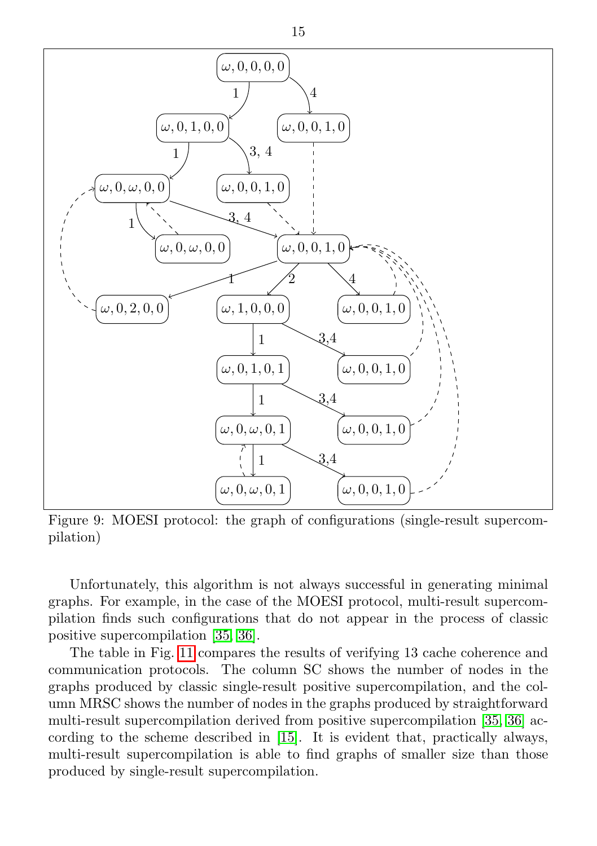<span id="page-15-0"></span>

Figure 9: MOESI protocol: the graph of configurations (single-result supercompilation)

Unfortunately, this algorithm is not always successful in generating minimal graphs. For example, in the case of the MOESI protocol, multi-result supercompilation finds such configurations that do not appear in the process of classic positive supercompilation [\[35,](#page-28-5) [36\]](#page-28-6).

The table in Fig. [11](#page-16-2) compares the results of verifying 13 cache coherence and communication protocols. The column SC shows the number of nodes in the graphs produced by classic single-result positive supercompilation, and the column MRSC shows the number of nodes in the graphs produced by straightforward multi-result supercompilation derived from positive supercompilation [\[35,](#page-28-5) [36\]](#page-28-6) according to the scheme described in [\[15\]](#page-26-6). It is evident that, practically always, multi-result supercompilation is able to find graphs of smaller size than those produced by single-result supercompilation.

15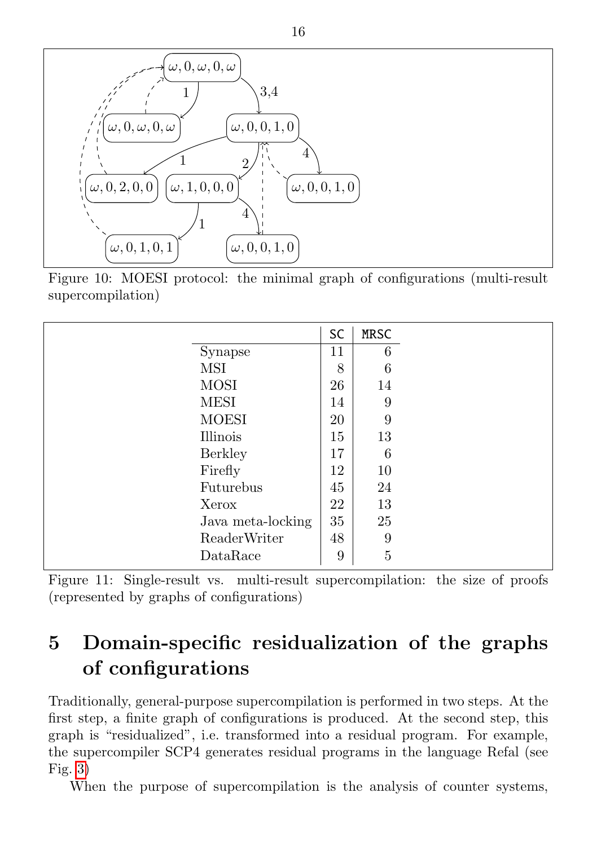<span id="page-16-1"></span>

Figure 10: MOESI protocol: the minimal graph of configurations (multi-result supercompilation)

<span id="page-16-2"></span>

|                   | SC | <b>MRSC</b>    |
|-------------------|----|----------------|
| Synapse           | 11 | 6              |
| MSI               | 8  | 6              |
| <b>MOSI</b>       | 26 | 14             |
| <b>MESI</b>       | 14 | 9              |
| <b>MOESI</b>      | 20 | 9              |
| Illinois          | 15 | 13             |
| <b>Berkley</b>    | 17 | 6              |
| Firefly           | 12 | 10             |
| Futurebus         | 45 | 24             |
| Xerox             | 22 | 13             |
| Java meta-locking | 35 | 25             |
| ReaderWriter      | 48 | 9              |
| DataRace          | 9  | $\overline{5}$ |

Figure 11: Single-result vs. multi-result supercompilation: the size of proofs (represented by graphs of configurations)

# <span id="page-16-0"></span>5 Domain-specific residualization of the graphs of configurations

Traditionally, general-purpose supercompilation is performed in two steps. At the first step, a finite graph of configurations is produced. At the second step, this graph is "residualized", i.e. transformed into a residual program. For example, the supercompiler SCP4 generates residual programs in the language Refal (see Fig. [3\)](#page-8-0)

When the purpose of supercompilation is the analysis of counter systems,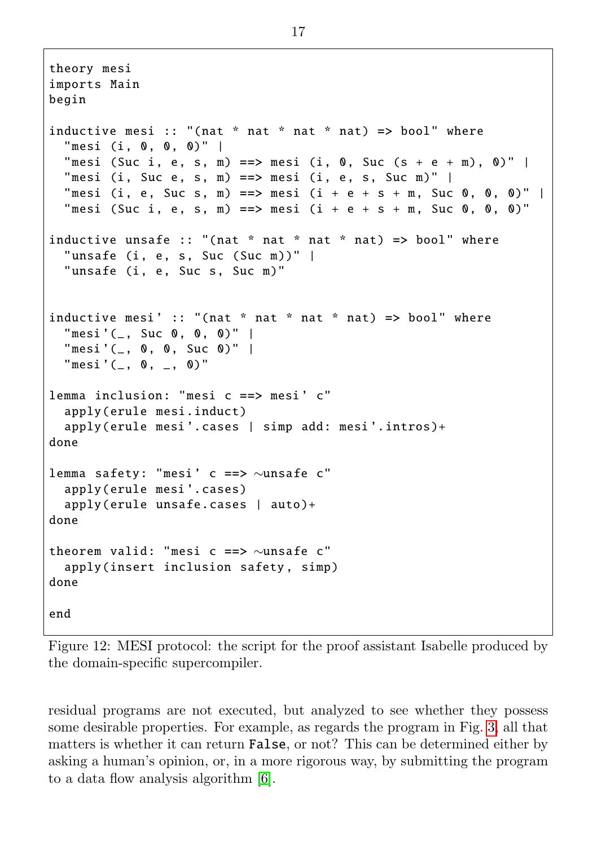```
theory mesi
imports Main
begin
inductive mesi :: "(nat * nat * nat * nat) => bool" where
  "mesi (i, 0, 0, 0)" |
  "mesi (Suc i, e, s, m) ==> mesi (i, 0, Suc (s + e + m), 0)" |
  "mesi (i, Suc e, s, m) ==> mesi (i, e, s, Suc m)" |
  "mesi (i, e, Suc s, m) ==> mesi (i + e + s + m, Suc 0, 0, 0)" |
  "mesi (Suc i, e, s, m) = > mesi (i + e + s + m, Suc 0, 0, 0)"
inductive unsafe :: "(nat * nat * nat * nat) => bool" where
  "unsafe (i, e, s, Suc (Suc m))" |
  "unsafe (i, e, Suc s, Suc m)"
inductive mesi' :: "(nat * nat * nat * nat) => bool" where
  "mesi'(_, Suc 0, 0, 0)""mesi'(_-, 0, 0, Suc 0)""mesi' (_, 0,_, 0)"lemma inclusion: "mesi c ==> mesi' c"
  apply(erule mesi.induct)
  apply(erule mesi'.cases | simp add: mesi'.intros)+
done
lemma safety: "mesi ' c ==> ∼unsafe c"
  apply(erule mesi '. cases)
  apply(erule unsafe.cases | auto )+
done
theorem valid: "mesi c ==> ∼unsafe c"
  apply(insert inclusion safety, simp)
done
end
```
Figure 12: MESI protocol: the script for the proof assistant Isabelle produced by the domain-specific supercompiler.

residual programs are not executed, but analyzed to see whether they possess some desirable properties. For example, as regards the program in Fig. [3,](#page-8-0) all that matters is whether it can return False, or not? This can be determined either by asking a human's opinion, or, in a more rigorous way, by submitting the program to a data flow analysis algorithm [\[6\]](#page-25-5).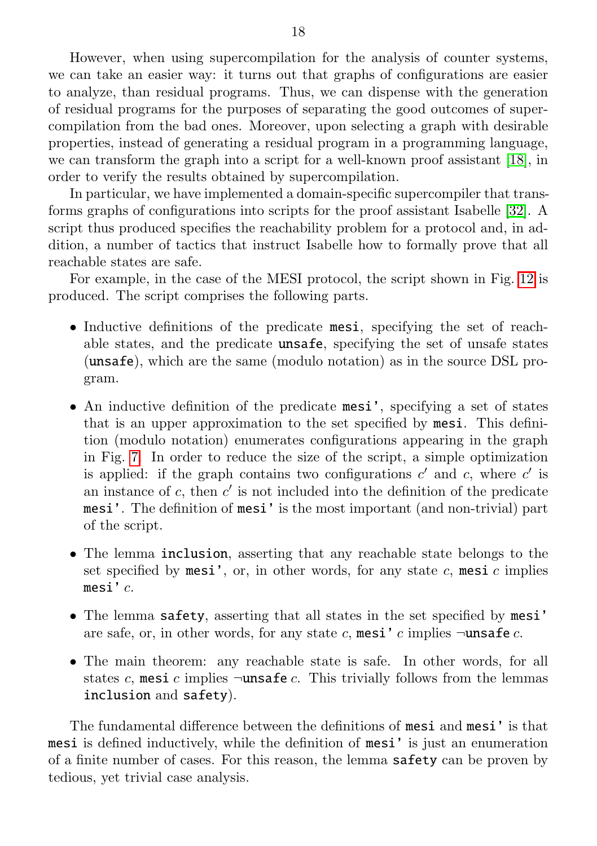However, when using supercompilation for the analysis of counter systems, we can take an easier way: it turns out that graphs of configurations are easier to analyze, than residual programs. Thus, we can dispense with the generation of residual programs for the purposes of separating the good outcomes of supercompilation from the bad ones. Moreover, upon selecting a graph with desirable properties, instead of generating a residual program in a programming language, we can transform the graph into a script for a well-known proof assistant [\[18\]](#page-26-7), in order to verify the results obtained by supercompilation.

In particular, we have implemented a domain-specific supercompiler that transforms graphs of configurations into scripts for the proof assistant Isabelle [\[32\]](#page-28-8). A script thus produced specifies the reachability problem for a protocol and, in addition, a number of tactics that instruct Isabelle how to formally prove that all reachable states are safe.

For example, in the case of the MESI protocol, the script shown in Fig. [12](#page-17-0) is produced. The script comprises the following parts.

- ∙ Inductive definitions of the predicate mesi, specifying the set of reachable states, and the predicate unsafe, specifying the set of unsafe states (unsafe), which are the same (modulo notation) as in the source DSL program.
- ∙ An inductive definition of the predicate mesi', specifying a set of states that is an upper approximation to the set specified by mesi. This definition (modulo notation) enumerates configurations appearing in the graph in Fig. [7.](#page-12-2) In order to reduce the size of the script, a simple optimization is applied: if the graph contains two configurations  $c'$  and  $c$ , where  $c'$  is an instance of  $c$ , then  $c'$  is not included into the definition of the predicate mesi'. The definition of mesi' is the most important (and non-trivial) part of the script.
- ∙ The lemma inclusion, asserting that any reachable state belongs to the set specified by mesi', or, in other words, for any state  $c$ , mesi  $c$  implies mesi' $c$ .
- ∙ The lemma safety, asserting that all states in the set specified by mesi' are safe, or, in other words, for any state c, mesi' c implies  $\neg$ unsafe c.
- ∙ The main theorem: any reachable state is safe. In other words, for all states c, mesi c implies  $\neg$ unsafe c. This trivially follows from the lemmas inclusion and safety).

The fundamental difference between the definitions of mesi and mesi' is that mesi is defined inductively, while the definition of mesi' is just an enumeration of a finite number of cases. For this reason, the lemma safety can be proven by tedious, yet trivial case analysis.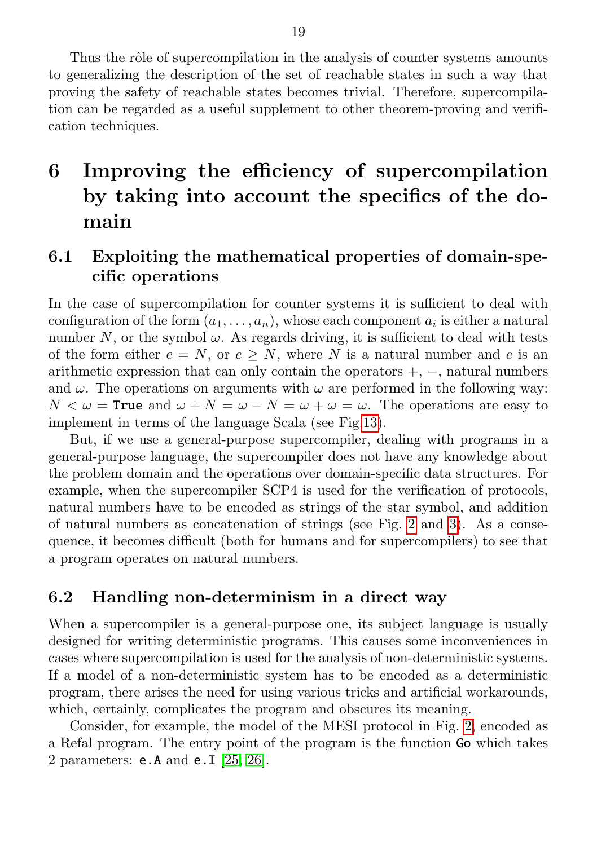Thus the rôle of supercompilation in the analysis of counter systems amounts to generalizing the description of the set of reachable states in such a way that proving the safety of reachable states becomes trivial. Therefore, supercompilation can be regarded as a useful supplement to other theorem-proving and verification techniques.

# <span id="page-19-0"></span>6 Improving the efficiency of supercompilation by taking into account the specifics of the domain

### <span id="page-19-1"></span>6.1 Exploiting the mathematical properties of domain-specific operations

In the case of supercompilation for counter systems it is sufficient to deal with configuration of the form  $(a_1, \ldots, a_n)$ , whose each component  $a_i$  is either a natural number N, or the symbol  $\omega$ . As regards driving, it is sufficient to deal with tests of the form either  $e = N$ , or  $e \ge N$ , where N is a natural number and e is an arithmetic expression that can only contain the operators  $+$ ,  $-$ , natural numbers and  $\omega$ . The operations on arguments with  $\omega$  are performed in the following way:  $N < \omega$  = True and  $\omega + N = \omega - N = \omega + \omega = \omega$ . The operations are easy to implement in terms of the language Scala (see Fig[.13\)](#page-20-0).

But, if we use a general-purpose supercompiler, dealing with programs in a general-purpose language, the supercompiler does not have any knowledge about the problem domain and the operations over domain-specific data structures. For example, when the supercompiler SCP4 is used for the verification of protocols, natural numbers have to be encoded as strings of the star symbol, and addition of natural numbers as concatenation of strings (see Fig. [2](#page-7-0) and [3\)](#page-8-0). As a consequence, it becomes difficult (both for humans and for supercompilers) to see that a program operates on natural numbers.

#### <span id="page-19-2"></span>6.2 Handling non-determinism in a direct way

When a supercompiler is a general-purpose one, its subject language is usually designed for writing deterministic programs. This causes some inconveniences in cases where supercompilation is used for the analysis of non-deterministic systems. If a model of a non-deterministic system has to be encoded as a deterministic program, there arises the need for using various tricks and artificial workarounds, which, certainly, complicates the program and obscures its meaning.

Consider, for example, the model of the MESI protocol in Fig. [2,](#page-7-0) encoded as a Refal program. The entry point of the program is the function Go which takes 2 parameters: e.A and e.I [\[25,](#page-27-10) [26\]](#page-27-11).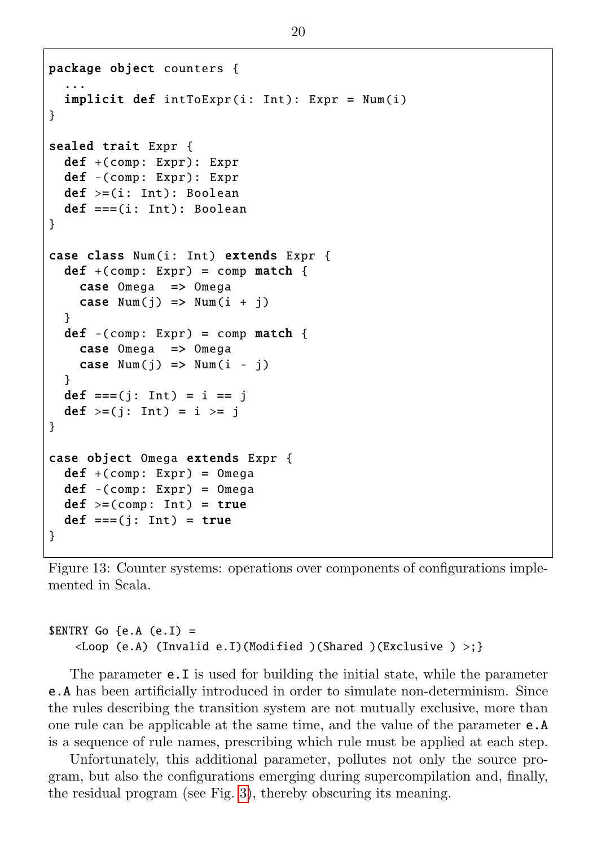```
package object counters {
  ...
  \texttt{implicit def} intToExpr(i: Int): Expr = Num(i)
}
sealed trait Expr {
  def +( comp: Expr ): Expr
  def -(comp: Expr): Expr
  def \geq=(i: Int): Booleandef == (i: Int): Boolean}
case class Num(i: Int) extends Expr {
  def +(comp: Expr) = comp match {
    case Omega => Omega
    case Num(i) \implies Num(i + i)}
  def -(comp: Expr) = comp match {
    case Omega => Omega
    case Num(j) \implies Num(i - j)}
  def ==(j: Int) = i == j
  def >= (i: Int) = i >= j}
case object Omega extends Expr {
  def +(comp: Expr) = Omega
  def -(comp: Expr) = Omega
  def \ge = (comp: Int) = truedef == (i: Int) = true}
```
Figure 13: Counter systems: operations over components of configurations implemented in Scala.

#### $\texttt{SENTRY}$  Go {e.A (e.I) =  $\langle$ Loop (e.A) (Invalid e.I)(Modified )(Shared )(Exclusive ) >;}

The parameter e.I is used for building the initial state, while the parameter e.A has been artificially introduced in order to simulate non-determinism. Since the rules describing the transition system are not mutually exclusive, more than one rule can be applicable at the same time, and the value of the parameter e.A is a sequence of rule names, prescribing which rule must be applied at each step.

Unfortunately, this additional parameter, pollutes not only the source program, but also the configurations emerging during supercompilation and, finally, the residual program (see Fig. [3\)](#page-8-0), thereby obscuring its meaning.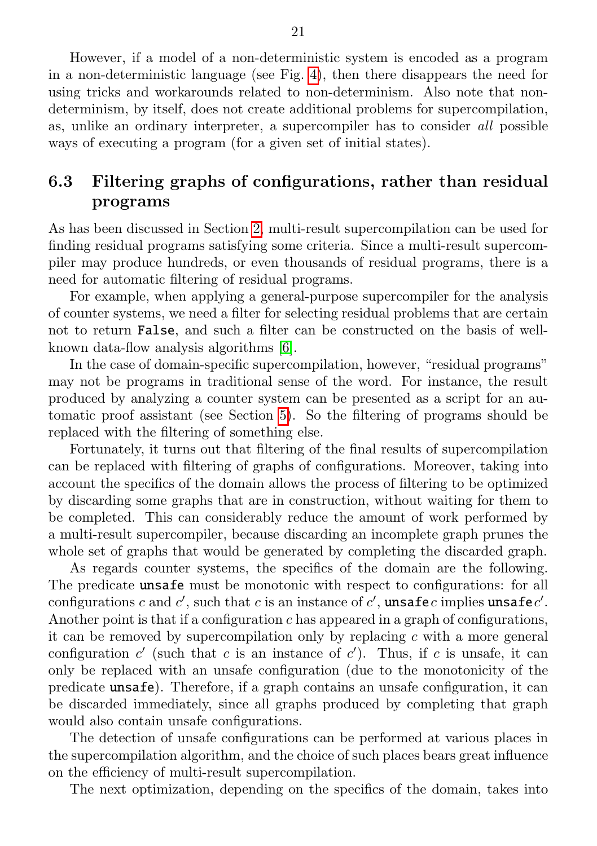However, if a model of a non-deterministic system is encoded as a program in a non-deterministic language (see Fig. [4\)](#page-11-0), then there disappears the need for using tricks and workarounds related to non-determinism. Also note that nondeterminism, by itself, does not create additional problems for supercompilation, as, unlike an ordinary interpreter, a supercompiler has to consider all possible ways of executing a program (for a given set of initial states).

### <span id="page-21-0"></span>6.3 Filtering graphs of configurations, rather than residual programs

As has been discussed in Section [2,](#page-5-0) multi-result supercompilation can be used for finding residual programs satisfying some criteria. Since a multi-result supercompiler may produce hundreds, or even thousands of residual programs, there is a need for automatic filtering of residual programs.

For example, when applying a general-purpose supercompiler for the analysis of counter systems, we need a filter for selecting residual problems that are certain not to return False, and such a filter can be constructed on the basis of wellknown data-flow analysis algorithms [\[6\]](#page-25-5).

In the case of domain-specific supercompilation, however, "residual programs" may not be programs in traditional sense of the word. For instance, the result produced by analyzing a counter system can be presented as a script for an automatic proof assistant (see Section [5\)](#page-16-0). So the filtering of programs should be replaced with the filtering of something else.

Fortunately, it turns out that filtering of the final results of supercompilation can be replaced with filtering of graphs of configurations. Moreover, taking into account the specifics of the domain allows the process of filtering to be optimized by discarding some graphs that are in construction, without waiting for them to be completed. This can considerably reduce the amount of work performed by a multi-result supercompiler, because discarding an incomplete graph prunes the whole set of graphs that would be generated by completing the discarded graph.

As regards counter systems, the specifics of the domain are the following. The predicate unsafe must be monotonic with respect to configurations: for all configurations c and c', such that c is an instance of c', unsafec implies unsafec'. Another point is that if a configuration  $c$  has appeared in a graph of configurations, it can be removed by supercompilation only by replacing  $c$  with a more general configuration  $c'$  (such that c is an instance of  $c'$ ). Thus, if c is unsafe, it can only be replaced with an unsafe configuration (due to the monotonicity of the predicate unsafe). Therefore, if a graph contains an unsafe configuration, it can be discarded immediately, since all graphs produced by completing that graph would also contain unsafe configurations.

The detection of unsafe configurations can be performed at various places in the supercompilation algorithm, and the choice of such places bears great influence on the efficiency of multi-result supercompilation.

The next optimization, depending on the specifics of the domain, takes into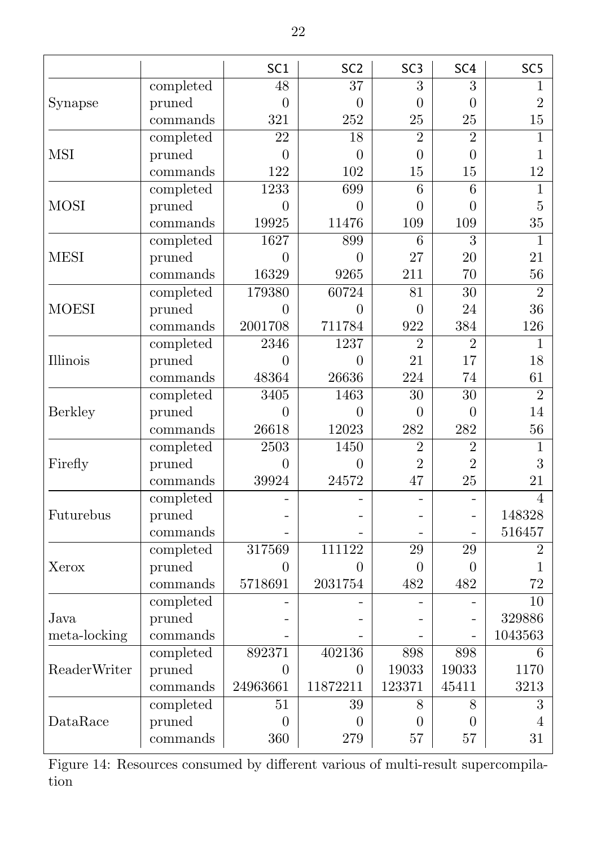<span id="page-22-0"></span>

|              |           | SC <sub>1</sub>   | SC <sub>2</sub> | SC <sub>3</sub> | SC <sub>4</sub> | SC <sub>5</sub> |
|--------------|-----------|-------------------|-----------------|-----------------|-----------------|-----------------|
|              | completed | 48                | $\overline{37}$ | $\overline{3}$  | 3               | 1               |
| Synapse      | pruned    | $\theta$          | $\overline{0}$  | $\overline{0}$  | $\theta$        | $\overline{2}$  |
|              | commands  | 321               | 252             | 25              | 25              | 15              |
|              | completed | $\overline{22}$   | $\overline{18}$ | $\overline{2}$  | $\overline{2}$  | 1               |
| <b>MSI</b>   | pruned    | $\overline{0}$    | $\overline{0}$  | $\overline{0}$  | $\overline{0}$  | 1               |
|              | commands  | 122               | 102             | 15              | 15              | 12              |
|              | completed | 1233              | 699             | 6               | 6               | 1               |
| <b>MOSI</b>  | pruned    | $\theta$          | $\overline{0}$  | $\theta$        | $\theta$        | 5               |
|              | commands  | 19925             | 11476           | 109             | 109             | 35              |
|              | completed | 1627              | 899             | $\overline{6}$  | $\overline{3}$  | 1               |
| <b>MESI</b>  | pruned    | $\theta$          | $\overline{0}$  | 27              | 20              | 21              |
|              | commands  | 16329             | 9265            | 211             | 70              | 56              |
|              | completed | 179380            | 60724           | 81              | $\overline{30}$ | $\overline{2}$  |
| <b>MOESI</b> | pruned    | $\theta$          | 0               | 0               | 24              | 36              |
|              | commands  | 2001708           | 711784          | 922             | 384             | 126             |
|              | completed | 2346              | 1237            | $\overline{2}$  | $\overline{2}$  | 1               |
| Illinois     | pruned    | $\Omega$          | $\theta$        | 21              | 17              | 18              |
|              | commands  | 48364             | 26636           | 224             | 74              | 61              |
|              | completed | 3405              | 1463            | $\overline{30}$ | $\overline{30}$ | $\overline{2}$  |
| Berkley      | pruned    | $\overline{0}$    | $\overline{0}$  | 0               | 0               | 14              |
|              | commands  | 26618             | 12023           | 282             | 282             | 56              |
|              | completed | $\overline{2503}$ | 1450            | $\overline{2}$  | $\overline{2}$  | 1               |
| Firefly      | pruned    | $\theta$          | $\overline{0}$  | $\overline{2}$  | $\overline{2}$  | 3               |
|              | commands  | 39924             | 24572           | 47              | 25              | 21              |
|              | completed |                   |                 |                 |                 | $\overline{4}$  |
| Futurebus    | pruned    |                   |                 |                 |                 | 148328          |
|              | commands  |                   |                 |                 |                 | 516457          |
|              | completed | 317569            | 111122          | 29              | 29              | $\overline{2}$  |
| Xerox        | pruned    | $\Omega$          | $\theta$        | $\Omega$        | $\theta$        | 1               |
|              | commands  | 5718691           | 2031754         | 482             | 482             | 72              |
|              | completed |                   |                 |                 |                 | $\overline{10}$ |
| Java.        | pruned    |                   |                 |                 |                 | 329886          |
| meta-locking | commands  |                   |                 |                 |                 | 1043563         |
|              | completed | 892371            | 402136          | 898             | 898             | 6               |
| ReaderWriter | pruned    | $\Omega$          | $\theta$        | 19033           | 19033           | 1170            |
|              | commands  | 24963661          | 11872211        | 123371          | 45411           | 3213            |
|              | completed | 51                | 39              | 8               | 8               | $\overline{3}$  |
| DataRace     | pruned    | $\theta$          | $\theta$        | $\theta$        | $\theta$        | 4               |
|              | commands  | 360               | 279             | 57              | 57              | 31              |

Figure 14: Resources consumed by different various of multi-result supercompilation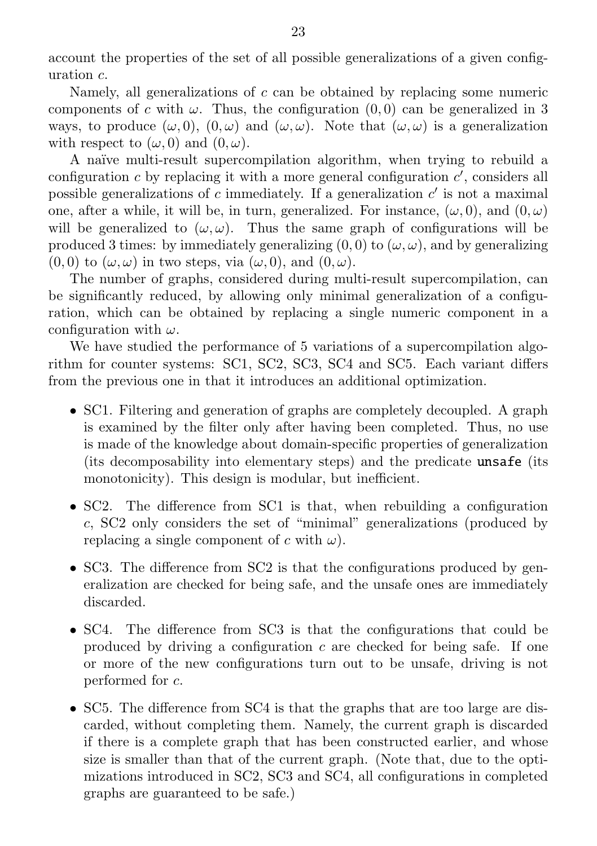account the properties of the set of all possible generalizations of a given configuration  $c$ .

Namely, all generalizations of  $c$  can be obtained by replacing some numeric components of c with  $\omega$ . Thus, the configuration (0,0) can be generalized in 3 ways, to produce  $(\omega, 0)$ ,  $(0, \omega)$  and  $(\omega, \omega)$ . Note that  $(\omega, \omega)$  is a generalization with respect to  $(\omega, 0)$  and  $(0, \omega)$ .

A na¨ıve multi-result supercompilation algorithm, when trying to rebuild a configuration  $c$  by replacing it with a more general configuration  $c'$ , considers all possible generalizations of  $c$  immediately. If a generalization  $c'$  is not a maximal one, after a while, it will be, in turn, generalized. For instance,  $(\omega, 0)$ , and  $(0, \omega)$ will be generalized to  $(\omega, \omega)$ . Thus the same graph of configurations will be produced 3 times: by immediately generalizing  $(0, 0)$  to  $(\omega, \omega)$ , and by generalizing  $(0, 0)$  to  $(\omega, \omega)$  in two steps, via  $(\omega, 0)$ , and  $(0, \omega)$ .

The number of graphs, considered during multi-result supercompilation, can be significantly reduced, by allowing only minimal generalization of a configuration, which can be obtained by replacing a single numeric component in a configuration with  $\omega$ .

We have studied the performance of 5 variations of a supercompilation algorithm for counter systems: SC1, SC2, SC3, SC4 and SC5. Each variant differs from the previous one in that it introduces an additional optimization.

- ∙ SC1. Filtering and generation of graphs are completely decoupled. A graph is examined by the filter only after having been completed. Thus, no use is made of the knowledge about domain-specific properties of generalization (its decomposability into elementary steps) and the predicate unsafe (its monotonicity). This design is modular, but inefficient.
- ∙ SC2. The difference from SC1 is that, when rebuilding a configuration , SC2 only considers the set of "minimal" generalizations (produced by replacing a single component of c with  $\omega$ ).
- ∙ SC3. The difference from SC2 is that the configurations produced by generalization are checked for being safe, and the unsafe ones are immediately discarded.
- ∙ SC4. The difference from SC3 is that the configurations that could be produced by driving a configuration  $c$  are checked for being safe. If one or more of the new configurations turn out to be unsafe, driving is not performed for  $c$ .
- ∙ SC5. The difference from SC4 is that the graphs that are too large are discarded, without completing them. Namely, the current graph is discarded if there is a complete graph that has been constructed earlier, and whose size is smaller than that of the current graph. (Note that, due to the optimizations introduced in SC2, SC3 and SC4, all configurations in completed graphs are guaranteed to be safe.)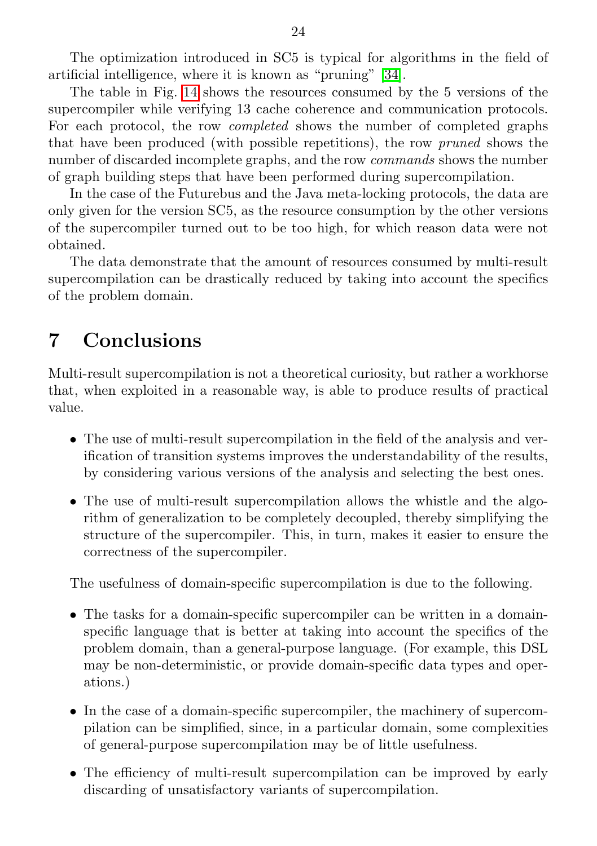The optimization introduced in SC5 is typical for algorithms in the field of artificial intelligence, where it is known as "pruning" [\[34\]](#page-28-9).

The table in Fig. [14](#page-22-0) shows the resources consumed by the 5 versions of the supercompiler while verifying 13 cache coherence and communication protocols. For each protocol, the row completed shows the number of completed graphs that have been produced (with possible repetitions), the row pruned shows the number of discarded incomplete graphs, and the row *commands* shows the number of graph building steps that have been performed during supercompilation.

In the case of the Futurebus and the Java meta-locking protocols, the data are only given for the version SC5, as the resource consumption by the other versions of the supercompiler turned out to be too high, for which reason data were not obtained.

The data demonstrate that the amount of resources consumed by multi-result supercompilation can be drastically reduced by taking into account the specifics of the problem domain.

## <span id="page-24-0"></span>7 Conclusions

Multi-result supercompilation is not a theoretical curiosity, but rather a workhorse that, when exploited in a reasonable way, is able to produce results of practical value.

- ∙ The use of multi-result supercompilation in the field of the analysis and verification of transition systems improves the understandability of the results, by considering various versions of the analysis and selecting the best ones.
- ∙ The use of multi-result supercompilation allows the whistle and the algorithm of generalization to be completely decoupled, thereby simplifying the structure of the supercompiler. This, in turn, makes it easier to ensure the correctness of the supercompiler.

The usefulness of domain-specific supercompilation is due to the following.

- ∙ The tasks for a domain-specific supercompiler can be written in a domainspecific language that is better at taking into account the specifics of the problem domain, than a general-purpose language. (For example, this DSL may be non-deterministic, or provide domain-specific data types and operations.)
- ∙ In the case of a domain-specific supercompiler, the machinery of supercompilation can be simplified, since, in a particular domain, some complexities of general-purpose supercompilation may be of little usefulness.
- ∙ The efficiency of multi-result supercompilation can be improved by early discarding of unsatisfactory variants of supercompilation.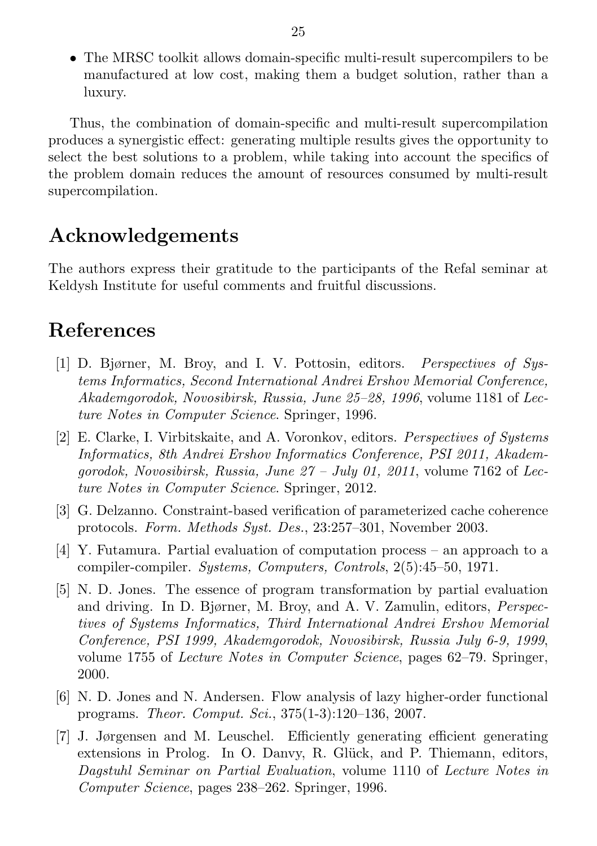∙ The MRSC toolkit allows domain-specific multi-result supercompilers to be manufactured at low cost, making them a budget solution, rather than a luxury.

Thus, the combination of domain-specific and multi-result supercompilation produces a synergistic effect: generating multiple results gives the opportunity to select the best solutions to a problem, while taking into account the specifics of the problem domain reduces the amount of resources consumed by multi-result supercompilation.

## Acknowledgements

The authors express their gratitude to the participants of the Refal seminar at Keldysh Institute for useful comments and fruitful discussions.

# <span id="page-25-0"></span>References

- <span id="page-25-7"></span>[1] D. Bjørner, M. Broy, and I. V. Pottosin, editors. Perspectives of Systems Informatics, Second International Andrei Ershov Memorial Conference, Akademgorodok, Novosibirsk, Russia, June 25–28, 1996, volume 1181 of Lecture Notes in Computer Science. Springer, 1996.
- <span id="page-25-6"></span>[2] E. Clarke, I. Virbitskaite, and A. Voronkov, editors. Perspectives of Systems Informatics, 8th Andrei Ershov Informatics Conference, PSI 2011, Akademaorodok, Novosibirsk, Russia, June  $27 - \text{July } 01$ , 2011, volume 7162 of Lecture Notes in Computer Science. Springer, 2012.
- <span id="page-25-2"></span>[3] G. Delzanno. Constraint-based verification of parameterized cache coherence protocols. Form. Methods Syst. Des., 23:257–301, November 2003.
- <span id="page-25-4"></span>[4] Y. Futamura. Partial evaluation of computation process – an approach to a compiler-compiler. Systems, Computers, Controls, 2(5):45–50, 1971.
- <span id="page-25-1"></span>[5] N. D. Jones. The essence of program transformation by partial evaluation and driving. In D. Bjørner, M. Broy, and A. V. Zamulin, editors, Perspectives of Systems Informatics, Third International Andrei Ershov Memorial Conference, PSI 1999, Akademgorodok, Novosibirsk, Russia July 6-9, 1999, volume 1755 of Lecture Notes in Computer Science, pages 62–79. Springer, 2000.
- <span id="page-25-5"></span>[6] N. D. Jones and N. Andersen. Flow analysis of lazy higher-order functional programs. Theor. Comput. Sci., 375(1-3):120–136, 2007.
- <span id="page-25-3"></span>[7] J. Jørgensen and M. Leuschel. Efficiently generating efficient generating extensions in Prolog. In O. Danyy, R. Glück, and P. Thiemann, editors, Dagstuhl Seminar on Partial Evaluation, volume 1110 of Lecture Notes in Computer Science, pages 238–262. Springer, 1996.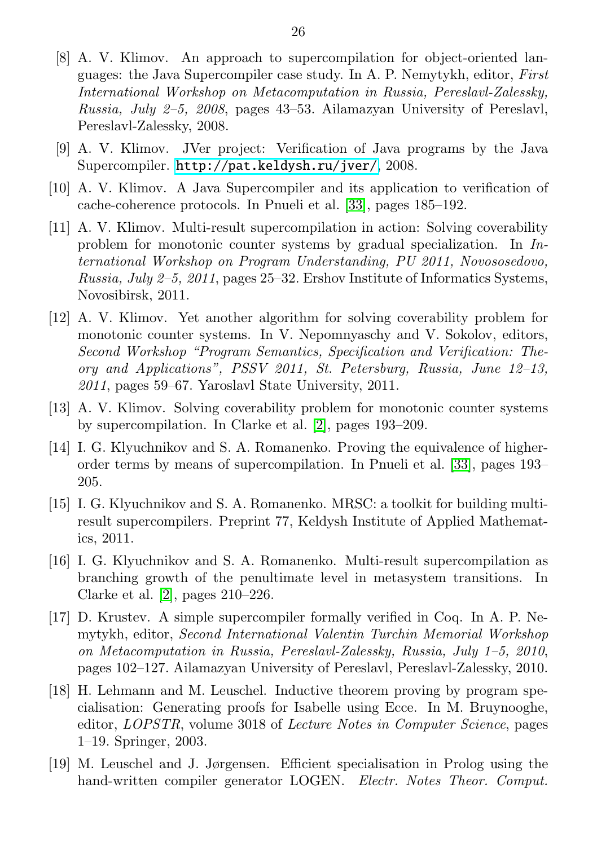- <span id="page-26-0"></span>[8] A. V. Klimov. An approach to supercompilation for object-oriented languages: the Java Supercompiler case study. In A. P. Nemytykh, editor, First International Workshop on Metacomputation in Russia, Pereslavl-Zalessky, Russia, July 2–5, 2008, pages 43–53. Ailamazyan University of Pereslavl, Pereslavl-Zalessky, 2008.
- <span id="page-26-9"></span>[9] A. V. Klimov. JVer project: Verification of Java programs by the Java Supercompiler. <http://pat.keldysh.ru/jver/>, 2008.
- <span id="page-26-10"></span>[10] A. V. Klimov. A Java Supercompiler and its application to verification of cache-coherence protocols. In Pnueli et al. [\[33\]](#page-28-10), pages 185–192.
- <span id="page-26-4"></span>[11] A. V. Klimov. Multi-result supercompilation in action: Solving coverability problem for monotonic counter systems by gradual specialization. In International Workshop on Program Understanding, PU 2011, Novososedovo, Russia, July 2–5, 2011, pages 25–32. Ershov Institute of Informatics Systems, Novosibirsk, 2011.
- <span id="page-26-11"></span>[12] A. V. Klimov. Yet another algorithm for solving coverability problem for monotonic counter systems. In V. Nepomnyaschy and V. Sokolov, editors, Second Workshop "Program Semantics, Specification and Verification: Theory and Applications", PSSV 2011, St. Petersburg, Russia, June 12–13, 2011, pages 59–67. Yaroslavl State University, 2011.
- <span id="page-26-2"></span>[13] A. V. Klimov. Solving coverability problem for monotonic counter systems by supercompilation. In Clarke et al. [\[2\]](#page-25-6), pages 193–209.
- <span id="page-26-1"></span>[14] I. G. Klyuchnikov and S. A. Romanenko. Proving the equivalence of higherorder terms by means of supercompilation. In Pnueli et al. [\[33\]](#page-28-10), pages 193– 205.
- <span id="page-26-6"></span>[15] I. G. Klyuchnikov and S. A. Romanenko. MRSC: a toolkit for building multiresult supercompilers. Preprint 77, Keldysh Institute of Applied Mathematics, 2011.
- <span id="page-26-3"></span>[16] I. G. Klyuchnikov and S. A. Romanenko. Multi-result supercompilation as branching growth of the penultimate level in metasystem transitions. In Clarke et al. [\[2\]](#page-25-6), pages 210–226.
- <span id="page-26-5"></span>[17] D. Krustev. A simple supercompiler formally verified in Coq. In A. P. Nemytykh, editor, Second International Valentin Turchin Memorial Workshop on Metacomputation in Russia, Pereslavl-Zalessky, Russia, July 1–5, 2010, pages 102–127. Ailamazyan University of Pereslavl, Pereslavl-Zalessky, 2010.
- <span id="page-26-7"></span>[18] H. Lehmann and M. Leuschel. Inductive theorem proving by program specialisation: Generating proofs for Isabelle using Ecce. In M. Bruynooghe, editor, LOPSTR, volume 3018 of Lecture Notes in Computer Science, pages 1–19. Springer, 2003.
- <span id="page-26-8"></span>[19] M. Leuschel and J. Jørgensen. Efficient specialisation in Prolog using the hand-written compiler generator LOGEN. Electr. Notes Theor. Comput.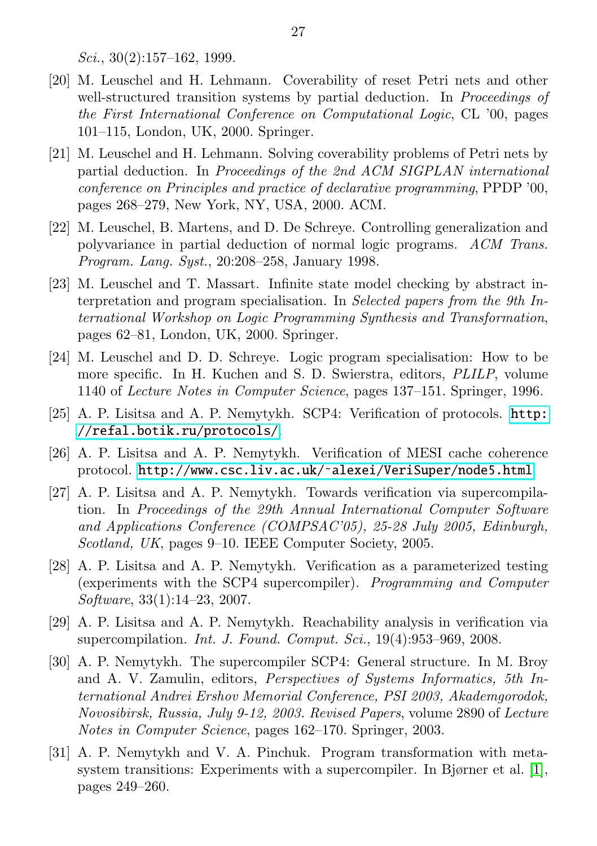$Sci., 30(2):157-162, 1999.$ 

- <span id="page-27-4"></span>[20] M. Leuschel and H. Lehmann. Coverability of reset Petri nets and other well-structured transition systems by partial deduction. In *Proceedings of* the First International Conference on Computational Logic, CL '00, pages 101–115, London, UK, 2000. Springer.
- <span id="page-27-5"></span>[21] M. Leuschel and H. Lehmann. Solving coverability problems of Petri nets by partial deduction. In Proceedings of the 2nd ACM SIGPLAN international conference on Principles and practice of declarative programming, PPDP '00, pages 268–279, New York, NY, USA, 2000. ACM.
- <span id="page-27-7"></span>[22] M. Leuschel, B. Martens, and D. De Schreye. Controlling generalization and polyvariance in partial deduction of normal logic programs. ACM Trans. Program. Lang. Syst., 20:208–258, January 1998.
- <span id="page-27-3"></span>[23] M. Leuschel and T. Massart. Infinite state model checking by abstract interpretation and program specialisation. In Selected papers from the 9th International Workshop on Logic Programming Synthesis and Transformation, pages 62–81, London, UK, 2000. Springer.
- <span id="page-27-6"></span>[24] M. Leuschel and D. D. Schreye. Logic program specialisation: How to be more specific. In H. Kuchen and S. D. Swierstra, editors, PLILP, volume 1140 of Lecture Notes in Computer Science, pages 137–151. Springer, 1996.
- <span id="page-27-10"></span>[25] A. P. Lisitsa and A. P. Nemytykh. SCP4: Verification of protocols. [http:](http://refal.botik.ru/protocols/) [//refal.botik.ru/protocols/](http://refal.botik.ru/protocols/).
- <span id="page-27-11"></span>[26] A. P. Lisitsa and A. P. Nemytykh. Verification of MESI cache coherence protocol. <http://www.csc.liv.ac.uk/~alexei/VeriSuper/node5.html>.
- <span id="page-27-8"></span>[27] A. P. Lisitsa and A. P. Nemytykh. Towards verification via supercompilation. In Proceedings of the 29th Annual International Computer Software and Applications Conference (COMPSAC'05), 25-28 July 2005, Edinburgh, Scotland, UK, pages 9–10. IEEE Computer Society, 2005.
- <span id="page-27-2"></span>[28] A. P. Lisitsa and A. P. Nemytykh. Verification as a parameterized testing (experiments with the SCP4 supercompiler). Programming and Computer Software, 33(1):14–23, 2007.
- <span id="page-27-9"></span>[29] A. P. Lisitsa and A. P. Nemytykh. Reachability analysis in verification via supercompilation. *Int. J. Found. Comput. Sci.*,  $19(4):953-969$ ,  $2008$ .
- <span id="page-27-1"></span>[30] A. P. Nemytykh. The supercompiler SCP4: General structure. In M. Broy and A. V. Zamulin, editors, Perspectives of Systems Informatics, 5th International Andrei Ershov Memorial Conference, PSI 2003, Akademgorodok, Novosibirsk, Russia, July 9-12, 2003. Revised Papers, volume 2890 of Lecture Notes in Computer Science, pages 162–170. Springer, 2003.
- <span id="page-27-0"></span>[31] A. P. Nemytykh and V. A. Pinchuk. Program transformation with metasystem transitions: Experiments with a supercompiler. In Bjørner et al. [\[1\]](#page-25-7), pages 249–260.